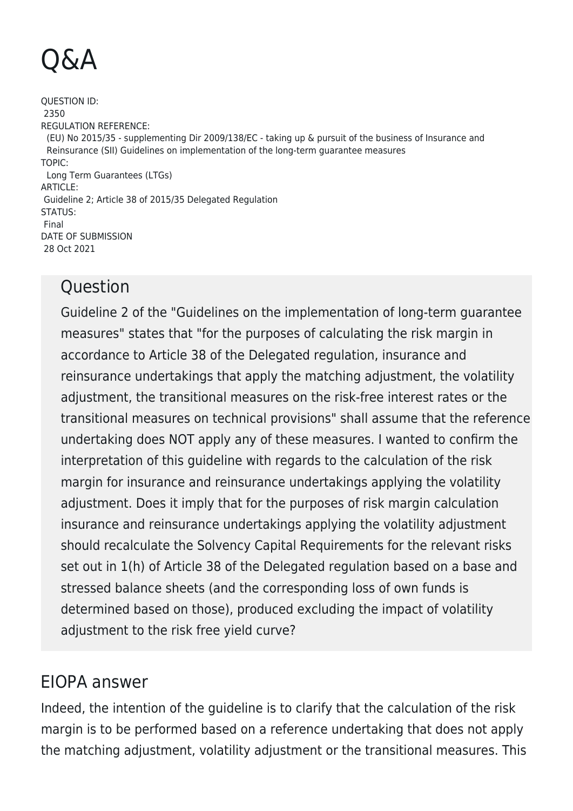## Q&A

QUESTION ID: 2350 REGULATION REFERENCE: (EU) No 2015/35 - supplementing Dir 2009/138/EC - taking up & pursuit of the business of Insurance and Reinsurance (SII) Guidelines on implementation of the long-term guarantee measures TOPIC: Long Term Guarantees (LTGs) ARTICLE: Guideline 2; Article 38 of 2015/35 Delegated Regulation STATUS: Final DATE OF SUBMISSION 28 Oct 2021

## **Question**

Guideline 2 of the "Guidelines on the implementation of long-term guarantee measures" states that "for the purposes of calculating the risk margin in accordance to Article 38 of the Delegated regulation, insurance and reinsurance undertakings that apply the matching adjustment, the volatility adjustment, the transitional measures on the risk-free interest rates or the transitional measures on technical provisions" shall assume that the reference undertaking does NOT apply any of these measures. I wanted to confirm the interpretation of this guideline with regards to the calculation of the risk margin for insurance and reinsurance undertakings applying the volatility adjustment. Does it imply that for the purposes of risk margin calculation insurance and reinsurance undertakings applying the volatility adjustment should recalculate the Solvency Capital Requirements for the relevant risks set out in 1(h) of Article 38 of the Delegated regulation based on a base and stressed balance sheets (and the corresponding loss of own funds is determined based on those), produced excluding the impact of volatility adjustment to the risk free yield curve?

## EIOPA answer

Indeed, the intention of the guideline is to clarify that the calculation of the risk margin is to be performed based on a reference undertaking that does not apply the matching adjustment, volatility adjustment or the transitional measures. This